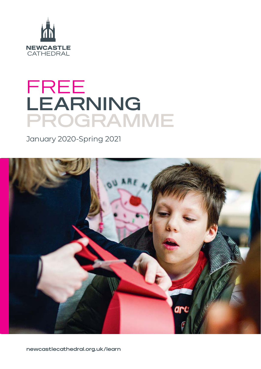

# FREE **LEARNING PROGRAMME**

January 2020-Spring 2021



**newcastlecathedral.org.uk/learn**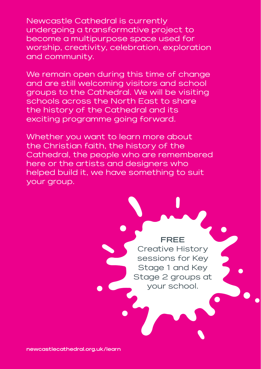Newcastle Cathedral is currently undergoing a transformative project to become a multipurpose space used for worship, creativity, celebration, exploration and community.

We remain open during this time of change and are still welcoming visitors and school groups to the Cathedral. We will be visiting schools across the North East to share the history of the Cathedral and its exciting programme going forward.

Whether you want to learn more about the Christian faith, the history of the Cathedral, the people who are remembered here or the artists and designers who helped build it, we have something to suit your group.

### **FREE**

Creative History sessions for Key Stage 1 and Key Stage 2 groups at your school.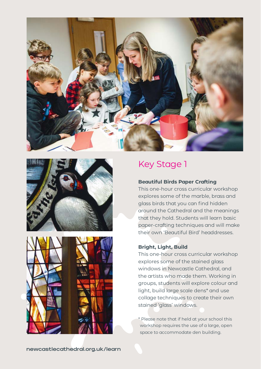





### Key Stage 1

#### **Beautiful Birds Paper Crafting**

This one-hour cross curricular workshop explores some of the marble, brass and glass birds that you can find hidden around the Cathedral and the meanings that they hold. Students will learn basic paper-crafting techniques and will make their own 'Beautiful Bird' headdresses.

#### **Bright, Light, Build**

This one-hour cross curricular workshop explores some of the stained glass windows in Newcastle Cathedral, and the artists who made them. Working in groups, students will explore colour and light, build large scale dens\* and use collage techniques to create their own stained 'glass' windows.

\* Please note that if held at your school this workshop requires the use of a large, open space to accommodate den building.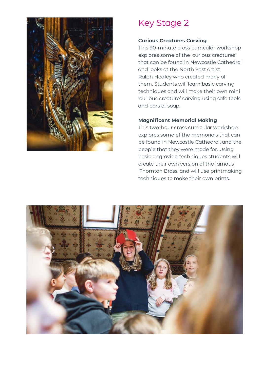

# Key Stage 2

### **Curious Creatures Carving**

This 90-minute cross curricular workshop explores some of the 'curious creatures' that can be found in Newcastle Cathedral and looks at the North East artist Ralph Hedley who created many of them. Students will learn basic carving techniques and will make their own mini 'curious creature' carving using safe tools and bars of soap.

#### **Magnificent Memorial Making**

This two-hour cross curricular workshop explores some of the memorials that can be found in Newcastle Cathedral, and the people that they were made for. Using basic engraving techniques students will create their own version of the famous 'Thornton Brass' and will use printmaking techniques to make their own prints.

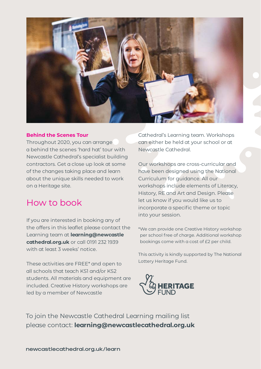

#### **Behind the Scenes Tour**

Throughout 2020, you can arrange a behind the scenes 'hard hat' tour with Newcastle Cathedral's specialist building contractors. Get a close up look at some of the changes taking place and learn about the unique skills needed to work on a Heritage site.

## How to book

If you are interested in booking any of the offers in this leaflet please contact the Learning team at **learning@newcastle cathedral.org.uk** or call 0191 232 1939 with at least 3 weeks' notice.

These activities are FREE\* and open to all schools that teach KS1 and/or KS2 students. All materials and equipment are included. Creative History workshops are led by a member of Newcastle

Cathedral's Learning team. Workshops can either be held at your school or at Newcastle Cathedral.

Our workshops are cross-curricular and have been designed using the National Curriculum for guidance. All our workshops include elements of Literacy, History, RE and Art and Design. Please let us know if you would like us to incorporate a specific theme or topic into your session.

\*We can provide one Creative History workshop per school free of charge. Additional workshop bookings come with a cost of £2 per child.

This activity is kindly supported by The National Lottery Heritage Fund.



To join the Newcastle Cathedral Learning mailing list please contact: **learning@newcastlecathedral.org.uk**